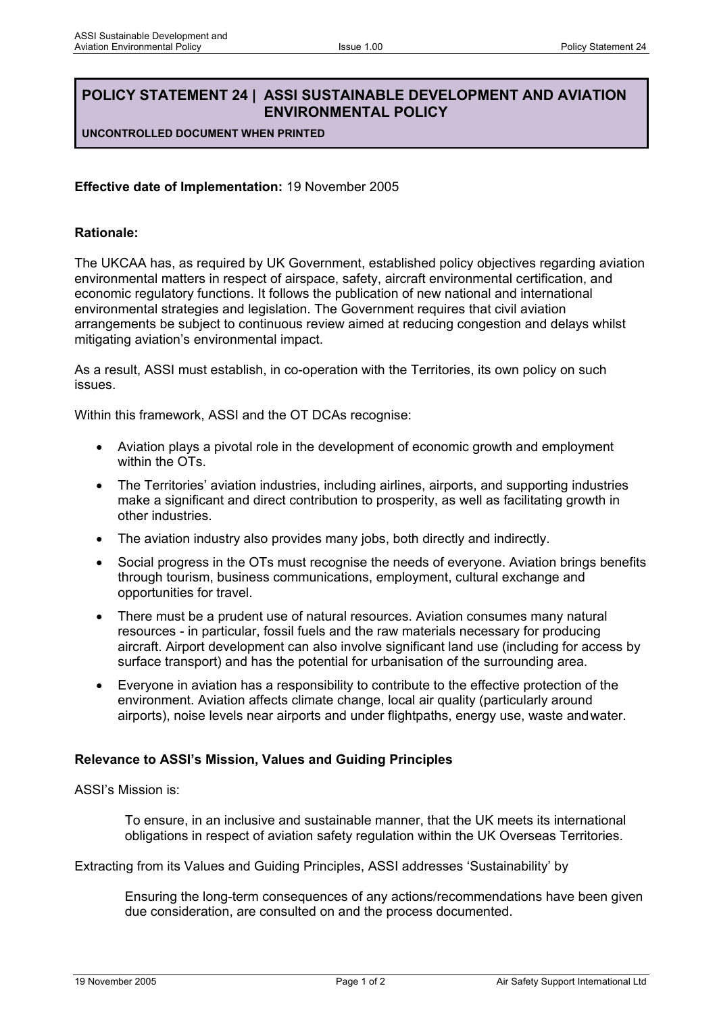# **POLICY STATEMENT 24 | ASSI SUSTAINABLE DEVELOPMENT AND AVIATION ENVIRONMENTAL POLICY**

**UNCONTROLLED DOCUMENT WHEN PRINTED**

#### **Effective date of Implementation:** 19 November 2005

#### **Rationale:**

The UKCAA has, as required by UK Government, established policy objectives regarding aviation environmental matters in respect of airspace, safety, aircraft environmental certification, and economic regulatory functions. It follows the publication of new national and international environmental strategies and legislation. The Government requires that civil aviation arrangements be subject to continuous review aimed at reducing congestion and delays whilst mitigating aviation's environmental impact.

As a result, ASSI must establish, in co-operation with the Territories, its own policy on such issues.

Within this framework, ASSI and the OT DCAs recognise:

- Aviation plays a pivotal role in the development of economic growth and employment within the OTs.
- The Territories' aviation industries, including airlines, airports, and supporting industries make a significant and direct contribution to prosperity, as well as facilitating growth in other industries.
- The aviation industry also provides many jobs, both directly and indirectly.
- Social progress in the OTs must recognise the needs of everyone. Aviation brings benefits through tourism, business communications, employment, cultural exchange and opportunities for travel.
- There must be a prudent use of natural resources. Aviation consumes many natural resources - in particular, fossil fuels and the raw materials necessary for producing aircraft. Airport development can also involve significant land use (including for access by surface transport) and has the potential for urbanisation of the surrounding area.
- Everyone in aviation has a responsibility to contribute to the effective protection of the environment. Aviation affects climate change, local air quality (particularly around airports), noise levels near airports and under flightpaths, energy use, waste andwater.

### **Relevance to ASSI's Mission, Values and Guiding Principles**

ASSI's Mission is:

To ensure, in an inclusive and sustainable manner, that the UK meets its international obligations in respect of aviation safety regulation within the UK Overseas Territories.

Extracting from its Values and Guiding Principles, ASSI addresses 'Sustainability' by

Ensuring the long-term consequences of any actions/recommendations have been given due consideration, are consulted on and the process documented.